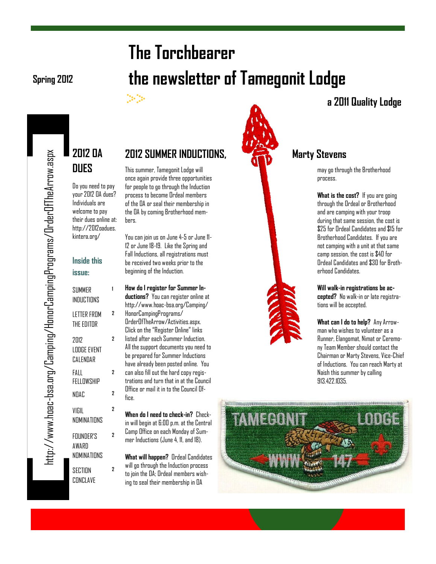# **The Torchbearer Spring 2012 the newsletter of Tamegonit Lodge**

#### $\frac{1}{2} \sum_{i=1}^{n} \frac{1}{2} \sum_{i=1}^{n} \frac{1}{2} \sum_{i=1}^{n} \frac{1}{2} \sum_{i=1}^{n} \frac{1}{2} \sum_{i=1}^{n} \frac{1}{2} \sum_{i=1}^{n} \frac{1}{2} \sum_{i=1}^{n} \frac{1}{2} \sum_{i=1}^{n} \frac{1}{2} \sum_{i=1}^{n} \frac{1}{2} \sum_{i=1}^{n} \frac{1}{2} \sum_{i=1}^{n} \frac{1}{2} \sum_{i=1}^{n} \frac{1}{2} \sum_{i=1}^{n$

#### **2012 SUMMER INDUCTIONS, Marty Stevens**

This summer, Tamegonit Lodge will once again provide three opportunities for people to go through the Induction process to become Ordeal members of the OA or seal their membership in the OA by coming Brotherhood members.

You can join us on June 4-5 or June 11- 12 or June 18-19. Like the Spring and Fall Inductions, all registrations must be received two weeks prior to the beginning of the Induction.

**How do I register for Summer Inductions?** You can register online at http://www.hoac-bsa.org/Camping/ HonorCampingPrograms/ OrderOfTheArrow/Activities.aspx. Click on the "Register Online" links listed after each Summer Induction. All the support documents you need to be prepared for Summer Inductions have already been posted online. You can also fill out the hard copy registrations and turn that in at the Council Office or mail it in to the Council Office.

**When do I need to check-in?** Checkin will begin at 6:00 p.m. at the Central Camp Office on each Monday of Summer Inductions (June 4, 11, and 18).

**What will happen?** Ordeal Candidates will go through the Induction process to join the OA; Ordeal members wishing to seal their membership in OA



may go through the Brotherhood process.

**a 2011 Quality Lodge**

**What is the cost?** If you are going through the Ordeal or Brotherhood and are camping with your troop during that same session, the cost is \$25 for Ordeal Candidates and \$15 for Brotherhood Candidates. If you are not camping with a unit at that same camp session, the cost is \$40 for Ordeal Candidates and \$30 for Brotherhood Candidates.

**Will walk-in registrations be accepted?** No walk-in or late registrations will be accepted.

**What can I do to help?** Any Arrowman who wishes to volunteer as a Runner, Elangomat, Nimat or Ceremony Team Member should contact the Chairman or Marty Stevens, Vice-Chief of Inductions. You can reach Marty at Naish this summer by calling 913.422.1035.



**Inside this issue:**

Do you need to pay your 2012 OA dues? Individuals are welcome to pay their dues online at: http://2012oadues. kintera.org/

**2012 OA** 

**DUES**

**1**

**2**

**2**

**2**

**2**

**2**

**2**

**SUMMER INDUCTIONS** 

LETTER FROM THE EDITOR

2012 LODGE EVENT CALENDAR

FALL **FFLLOWSHIP** 

VIGIL NOMINATIONS

FOUNDER'S AWARD NOMINATIONS

**SECTION** CONCLAVE

NOAC **<sup>2</sup>**